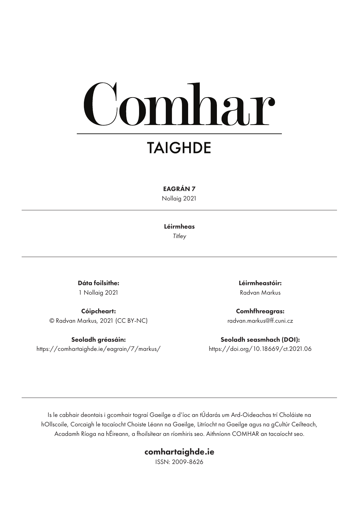# mhar

## **TAIGHDE**

EAGRÁN 7

Nollaig 2021

Léirmheas *Titley*

Dáta foilsithe: 1 Nollaig 2021

Cóipcheart: © Radvan Markus, 2021 (CC BY-NC)

Seoladh gréasáin: https://comhartaighde.ie/eagrain/7/markus/ Léirmheastóir: Radvan Markus

Comhfhreagras: radvan.markus@ff.cuni.cz

Seoladh seasmhach (DOI): https://doi.org/10.18669/ct.2021.06

Is le cabhair deontais i gcomhair tograí Gaeilge a d'íoc an tÚdarás um Ard-Oideachas trí Choláiste na hOllscoile, Corcaigh le tacaíocht Choiste Léann na Gaeilge, Litríocht na Gaeilge agus na gCultúr Ceilteach, Acadamh Ríoga na hÉireann, a fhoilsítear an ríomhiris seo. Aithníonn COMHAR an tacaíocht seo.

#### comhartaighde.ie

ISSN: 2009-8626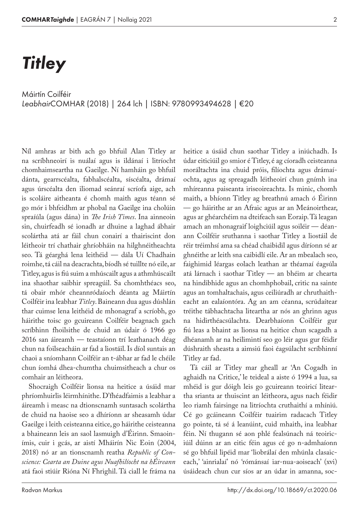## *Titley*

*Leabhair*COMHAR (2018) | 264 lch | ISBN: 9780993494628 | €20 Máirtín Coilféir

Níl amhras ar bith ach go bhfuil Alan Titley ar na scríbhneoirí is nuálaí agus is ildánaí i litríocht chomhaimseartha na Gaeilge. Ní hamháin go bhfuil dánta, gearrscéalta, fabhalscéalta, síscéalta, drámaí agus úrscéalta den iliomad seánraí scríofa aige, ach is scoláire aitheanta é chomh maith agus téann sé go mór i bhfeidhm ar phobal na Gaeilge ina cholúin spraíúla (agus dána) in *The Irish Times*. Ina ainneoin sin, chuirfeadh sé ionadh ar dhuine a laghad ábhair scolártha atá ar fáil chun conairí a thairiscint don léitheoir trí chathair ghríobháin na hilghnéitheachta seo. Tá géarghá lena leithéid — dála Uí Chadhain roimhe, tá cáil na deacrachta, bíodh sé tuillte nó eile, ar Titley, agus is fiú suim a mhúscailt agus a athmhúscailt ina shaothar saibhir spreagúil. Sa chomhthéacs seo, tá obair mhór cheannródaíoch déanta ag Máirtín Coilféir ina leabhar *Titley*. Baineann dua agus dúshlán thar cuimse lena leithéid de mhonagraf a scríobh, go háirithe toisc go gcuireann Coilféir beagnach gach scríbhinn fhoilsithe de chuid an údair ó 1966 go 2016 san áireamh — teastaíonn trí leathanach déag chun na foilseacháin ar fad a liostáil. Is díol suntais an chaoi a sníomhann Coilféir an t‑ábhar ar fad le chéile chun íomhá dhea-chumtha chuimsitheach a chur os comhair an léitheora.

Shocraigh Coilféir lionsa na heitice a úsáid mar phríomhuirlis léirmhínithe. D'fhéadfaimis a leabhar a áireamh i measc na dtionscnamh suntasach scolártha de chuid na haoise seo a dhíríonn ar sheasamh údar Gaeilge i leith ceisteanna eitice, go háirithe ceisteanna a bhaineann leis an saol lasmuigh d'Éirinn. Smaoinímis, cuir i gcás, ar aistí Mháirín Nic Eoin (2004, 2018) nó ar an tionscnamh reatha *Republic of Conscience: Cearta an Duine agus Nuafhilíocht na hÉireann* atá faoi stiúir Rióna Ní Fhrighil. Tá ciall le fráma na

heitice a úsáid chun saothar Titley a iniúchadh. Is údar eiticiúil go smior é Titley, é ag cíoradh ceisteanna moráltachta ina chuid próis, filíochta agus drámaíochta, agus ag spreagadh léitheoirí chun gnímh ina mhíreanna paiseanta iriseoireachta. Is minic, chomh maith, a bhíonn Titley ag breathnú amach ó Éirinn — go háirithe ar an Afraic agus ar an Meánoirthear, agus ar ghéarchéim na dteifeach san Eoraip. Tá leagan amach an mhonagraif loighciúil agus soiléir — déan‑ ann Coilféir sruthanna i saothar Titley a liostáil de réir tréimhsí ama sa chéad chaibidil agus díríonn sé ar ghnéithe ar leith sna caibidlí eile. Ar an mbealach seo, faighimid léargas eolach leathan ar théamaí éagsúla atá lárnach i saothar Titley — an bhéim ar chearta na hindibhide agus an chomhphobail, critic na sainte agus an tomhaltachais, agus ceiliúradh ar chruthaitheacht an ealaíontóra. Ag an am céanna, scrúdaítear tréithe tábhachtacha liteartha ar nós an ghrinn agus na hidirthéacsúlachta. Dearbhaíonn Coilféir gur fiú leas a bhaint as lionsa na heitice chun scagadh a dhéanamh ar na heilimintí seo go léir agus gur féidir dúshraith sheasta a aimsiú faoi éagsúlacht scríbhinní Titley ar fad.

Tá cáil ar Titley mar gheall ar 'An Cogadh in aghaidh na Critice,' le teideal a aiste ó 1994 a lua, sa mhéid is gur dóigh leis go gcuireann teoiricí liteartha srianta ar thuiscint an léitheora, agus nach féidir leo riamh fairsinge na litríochta cruthaithí a mhíniú. Cé go gcáineann Coilféir tuairim radacach Titley go pointe, tá sé á leanúint, cuid mhaith, ina leabhar féin. Ní thugann sé aon phlé fealsúnach ná teoiriciúil dúinn ar an eitic féin agus cé go n-admhaíonn sé go bhfuil lipéid mar 'liobrálaí den mhúnla clasaiceach,' 'ainrialaí' nó 'rómánsaí iar-nua-aoiseach' (xvi) úsáideach chun cur síos ar an údar in amanna, soc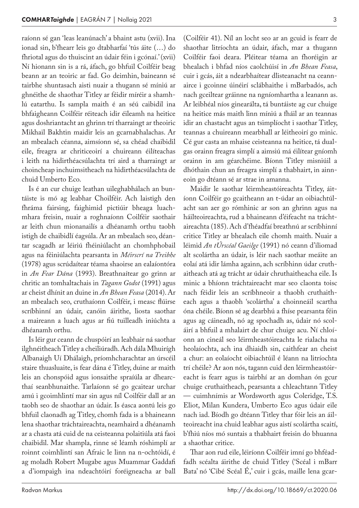raíonn sé gan 'leas leanúnach' a bhaint astu (xvii). Ina ionad sin, b'fhearr leis go dtabharfaí 'tús áite (…) do fhriotal agus do thuiscint an údair féin i gcónaí.' (xvii) Ní hionann sin is a rá, áfach, go bhfuil Coilféir beag beann ar an teoiric ar fad. Go deimhin, baineann sé tairbhe shuntasach aisti nuair a thugann sé míniú ar ghnéithe de shaothar Titley ar féidir míréir a shamhlú eatarthu. Is sampla maith é an séú caibidil ina bhfaigheann Coilféir réiteach idir éileamh na heitice agus doshriantacht an ghrinn trí tharraingt ar theoiric Mikhail Bakhtin maidir leis an gcarnabhalachas. Ar an mbealach céanna, aimsíonn sé, sa chéad chaibidil eile, freagra ar chriticeoirí a chuireann éilíteachas i leith na hidirthéacsúlachta trí aird a tharraingt ar choincheap inchuimsitheach na hidirthéacsúlachta de chuid Umberto Eco.

Is é an cur chuige leathan uileghabhálach an buntáiste is mó ag leabhar Choilféir. Ach laistigh den fhráma fairsing, faighimid pictiúir bheaga luachmhara freisin, nuair a roghnaíonn Coilféir saothair ar leith chun mionanailís a dhéanamh orthu taobh istigh de chaibidlí éagsúla. Ar an mbealach seo, déantar scagadh ar léiriú fhéiniúlacht an chomhphobail agus na féiniúlachta pearsanta in *Méirscrí na Treibhe* (1978) agus scrúdaítear téama shaoirse an ealaíontóra in *An Fear Dána* (1993). Breathnaítear go grinn ar chritic an tomhaltachais in *Tagann Godot* (1991) agus ar cheist dhínit an duine in *An Bhean Feasa* (2014). Ar an mbealach seo, cruthaíonn Coilféir, i measc flúirse scríbhinní an údair, canóin áirithe, liosta saothar a maireann a luach agus ar fiú tuilleadh iniúchta a dhéanamh orthu.

Is léir gur ceann de chuspóirí an leabhair ná saothar ilghnéitheach Titley a cheiliúradh. Ach dála Mhuirígh Albanaigh Uí Dhálaigh, príomhcharachtar an úrscéil staire thuasluaite, is fear dána é Titley, duine ar maith leis an chonspóid agus ionsaithe spraíúla ar dhearcthaí seanbhunaithe. Tarlaíonn sé go gcaitear urchar amú i gcoimhlintí mar sin agus níl Coilféir dall ar an taobh seo de shaothar an údair. Is éasca aontú leis go bhfuil claonadh ag Titley, chomh fada is a bhaineann lena shaothar tráchtaireachta, neamhaird a dhéanamh ar a chasta atá cuid de na ceisteanna polaitiúla atá faoi chaibidil. Mar shampla, rinne sé léamh róshimplí ar roinnt coimhlintí san Afraic le linn na n‑ochtóidí, é ag moladh Robert Mugabe agus Muammar Gaddafi a d'iompaigh ina ndeachtóirí foréigneacha ar ball (Coilféir 41). Níl an locht seo ar an gcuid is fearr de shaothar litríochta an údair, áfach, mar a thugann Coilféir faoi deara. Pléitear téama an fhoréigin ar bhealach i bhfad níos caolchúisí in *An Bhean Feasa*, cuir i gcás, áit a ndearbhaítear dlisteanacht na ceannairce i gcoinne úinéirí sclábhaithe i mBarbadós, ach nach gceiltear gráinne na ngníomhartha a leanann as. Ar leibhéal níos ginearálta, tá buntáiste ag cur chuige na heitice más maith linn míniú a fháil ar an teannas idir an chastacht agus an tsimplíocht i saothar Titley, teannas a chuireann mearbhall ar léitheoirí go minic. Cé gur casta an mhaise ceisteanna na heitice, tá dualgas orainn freagra simplí a aimsiú má éilítear gníomh orainn in am géarchéime. Bíonn Titley misniúil a dhóthain chun an freagra simplí a thabhairt, in ainneoin go dtéann sé ar strae in amanna.

Maidir le saothar léirmheastóireachta Titley, áitíonn Coilféir go gcaitheann an t-údar an oibiachtúlacht san aer go rómhinic ar son an ghrinn agus na háilteoireachta, rud a bhaineann d'éifeacht na tráchtaireachta (185). Ach d'fhéadfaí breathnú ar scríbhinní critice Titley ar bhealach eile chomh maith. Nuair a léimid *An tÚrscéal Gaeilge* (1991) nó ceann d'iliomad alt scolártha an údair, is léir nach saothar meáite an eolaí atá idir lámha againn, ach scríbhinn údar cruthaitheach atá ag trácht ar údair chruthaitheacha eile. Is minic a bhíonn tráchtaireacht mar seo claonta toisc nach féidir leis an scríbhneoir a thaobh cruthaitheach agus a thaobh 'scolártha' a choinneáil scartha óna chéile. Bíonn sé ag dearbhú a fhíse pearsanta féin agus ag cáineadh, nó ag spochadh as, údair nó scoláirí a bhfuil a mhalairt de chur chuige acu. Ní chloíonn an cineál seo léirmheastóireachta le rialacha na heolaíochta, ach ina dhiaidh sin, caithfear an cheist a chur: an eolaíocht oibiachtúil é léann na litríochta trí chéile? Ar aon nós, tagann cuid den léirmheastóireacht is fearr agus is tairbhí ar an domhan ón gcur chuige cruthaitheach, pearsanta a chleachtann Titley — cuimhnímis ar Wordsworth agus Coleridge, T.S. Eliot, Milan Kundera, Umberto Eco agus údair eile nach iad. Bíodh go dtéann Titley thar fóir leis an áilteoireacht ina chuid leabhar agus aistí scolártha scaití, b'fhiú níos mó suntais a thabhairt freisin do bhuanna a shaothar critice.

Thar aon rud eile, léiríonn Coilféir imní go bhféadfadh scéalta áirithe de chuid Titley ('Scéal i mBarr Bata' nó 'Cibé Scéal É,' cuir i gcás, maille lena gcar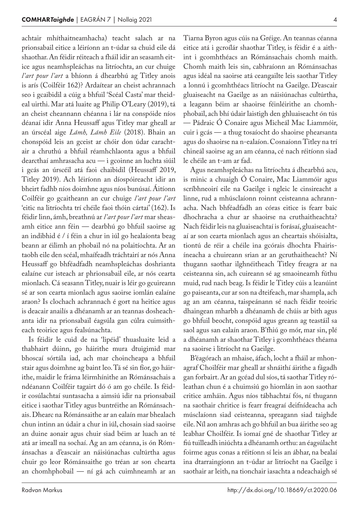achtair mhíthaitneamhacha) teacht salach ar na prionsabail eitice a léiríonn an t‑údar sa chuid eile dá shaothar. An féidir réiteach a fháil idir an seasamh eitice agus neamhspleáchas na litríochta, an cur chuige *l'art pour l'art* a bhíonn á dhearbhú ag Titley anois is arís (Coilféir 162)? Ardaítear an cheist achrannach seo i gcaibidil a cúig a bhfuil 'Scéal Casta' mar theideal uirthi. Mar atá luaite ag Philip O'Leary (2019), tá an cheist cheannann chéanna i lár na conspóide níos déanaí idir Anna Heussaff agus Titley mar gheall ar an úrscéal aige *Lámh, Lámh Eile* (2018). Bhain an chonspóid leis an gceist ar chóir don údar carachtair a chruthú a bhfuil réamhchlaonta agus a bhfuil dearcthaí amhrasacha acu — i gcoinne an luchta siúil i gcás an úrscéil atá faoi chaibidil (Heussaff 2019, Titley 2019). Ach léiríonn an díospóireacht idir an bheirt fadhb níos doimhne agus níos bunúsaí. Áitíonn Coilféir go gcaitheann an cur chuige *l'art pour l'art* 'eitic na litríochta trí chéile faoi thóin cártaí' (162). Is féidir linn, ámh, breathnú ar l'art pour l'art mar sheasamh eitice ann féin — dearbhú go bhfuil saoirse ag an indibhid é / í féin a chur in iúl go healaíonta beag beann ar éilimh an phobail nó na polaitíochta. Ar an taobh eile den scéal, mhaífeadh tráchtairí ar nós Anna Heussaff go bhféadfadh neamhspleáchas doshrianta ealaíne cur isteach ar phrionsabail eile, ar nós cearta mionlach. Cá seasann Titley, nuair is léir go gcuireann sé ar son cearta mionlach agus saoirse iomlán ealaíne araon? Is clochach achrannach é gort na heitice agus is deacair anailís a dhéanamh ar an teannas dosheachanta idir na prionsabail éagsúla gan cúlra cuimsitheach teoirice agus fealsúnachta.

Is féidir le cuid de na 'lipéid' thuasluaite leid a thabhairt dúinn, go háirithe mura dtuigimid mar bhoscaí sórtála iad, ach mar choincheapa a bhfuil stair agus doimhne ag baint leo. Tá sé sin fíor, go háirithe, maidir le fráma léirmhínithe an Rómánsachais a ndéanann Coilféir tagairt dó ó am go chéile. Is féidir cosúlachtaí suntasacha a aimsiú idir na prionsabail eitice i saothar Titley agus buntréithe an Rómánsachais. Dhearc na Rómánsaithe ar an ealaín mar bhealach chun intinn an údair a chur in iúl, chosain siad saoirse an duine aonair agus chuir siad béim ar luach an té atá ar imeall na sochaí. Ag an am céanna, is ón Róm‑ ánsachas a d'eascair an náisiúnachas cultúrtha agus chuir go leor Rómánsaithe go tréan ar son chearta an chomhphobail — ní gá ach cuimhneamh ar an Tiarna Byron agus cúis na Gréige. An teannas céanna eitice atá i gcroílár shaothar Titley, is féidir é a aithint i gcomhthéacs an Rómánsachais chomh maith. Chomh maith leis sin, cabhraíonn an Rómánsachas agus idéal na saoirse atá ceangailte leis saothar Titley a lonnú i gcomhthéacs litríocht na Gaeilge. D'eascair gluaiseacht na Gaeilge as an náisiúnachas cultúrtha, a leagann béim ar shaoirse féinléirithe an chomhphobail, ach bhí údair laistigh den ghluaiseacht ón tús — Pádraic Ó Conaire agus Micheál Mac Liammóir, cuir i gcás — a thug tosaíocht do shaoirse phearsanta agus do shaoirse na n‑ealaíon. Cosnaíonn Titley na trí chineál saoirse ag an am céanna, cé nach réitíonn siad le chéile an t‑am ar fad.

Agus neamhspleáchas na litríochta á dhearbhú acu, is minic a chuaigh Ó Conaire, Mac Liammóir agus scríbhneoirí eile na Gaeilge i ngleic le cinsireacht a linne, rud a mhúsclaíonn roinnt ceisteanna achrannacha. Nach bhféadfadh an córas eitice is fearr baic dhochracha a chur ar shaoirse na cruthaitheachta? Nach féidir leis na gluaiseachtaí is forásaí, gluaiseachtaí ar son cearta mionlach agus an cheartais shóisialta, tiontú de réir a chéile ina gcórais dhochta Fhairisíneacha a chuireann srian ar an gcruthaitheacht? Ní thugann saothar ilghnéitheach Titley freagra ar na ceisteanna sin, ach cuireann sé ag smaoineamh fúthu muid, rud nach beag. Is féidir le Titley cúis a leanúint go paiseanta, cur ar son na dteifeach, mar shampla, ach ag an am céanna, taispeánann sé nach féidir teoiric dhaingean mharbh a dhéanamh de chúis ar bith agus go bhfuil beocht, conspóid agus greann ag teastáil sa saol agus san ealaín araon. B'fhiú go mór, mar sin, plé a dhéanamh ar shaothar Titley i gcomhthéacs théama na saoirse i litríocht na Gaeilge.

B'éagórach an mhaise, áfach, locht a fháil ar mhonagraf Choilféir mar gheall ar shnáithí áirithe a fágadh gan forbairt. Ar an gcéad dul síos, tá saothar Titley ró‑ leathan chun é a chuimsiú go hiomlán in aon saothar critice amháin. Agus níos tábhachtaí fós, ní thugann na saothair chritice is fearr freagraí deifnídeacha ach músclaíonn siad ceisteanna, spreagann siad taighde eile. Níl aon amhras ach go bhfuil an bua áirithe seo ag leabhar Choilféir. Is iomaí gné de shaothar Titley ar fiú tuilleadh iniúchta a dhéanamh orthu: an éagsúlacht foirme agus conas a réitíonn sí leis an ábhar, na bealaí ina dtarraingíonn an t‑údar ar litríocht na Gaeilge i saothair ar leith, na tionchair iasachta a ndeachaigh sé